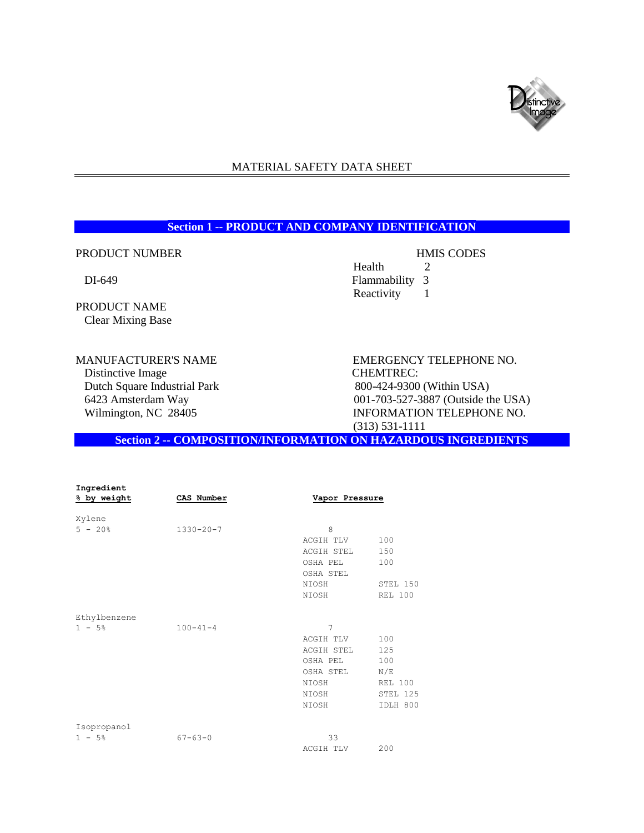

#### MATERIAL SAFETY DATA SHEET

# **Section 1 -- PRODUCT AND COMPANY IDENTIFICATION**

PRODUCT NUMBER HMIS CODES

PRODUCT NAME Clear Mixing Base

Distinctive Image CHEMTREC:

# Health 2 DI-649 Flammability 3 Reactivity 1

MANUFACTURER'S NAME EMERGENCY TELEPHONE NO. Dutch Square Industrial Park 800-424-9300 (Within USA)<br>6423 Amsterdam Way 001-703-527-3887 (Outside th 001-703-527-3887 (Outside the USA) Wilmington, NC 28405 **INFORMATION TELEPHONE NO.** (313) 531-1111

**Section 2 -- COMPOSITION/INFORMATION ON HAZARDOUS INGREDIENTS**

| Ingredient<br>% by weight | CAS Number      | Vapor Pressure    |                |
|---------------------------|-----------------|-------------------|----------------|
| Xylene                    |                 |                   |                |
| $5 - 20%$                 | $1330 - 20 - 7$ | 8                 |                |
|                           |                 | ACGIH TLV         | 100            |
|                           |                 | ACGIH STEL        | 150            |
|                           |                 | OSHA PEL          | 100            |
|                           |                 | OSHA STEL         |                |
|                           |                 | NIOSH             | STEL 150       |
|                           |                 | NIOSH             | <b>REL 100</b> |
| Ethylbenzene              |                 |                   |                |
| $1 - 5%$                  | $100 - 41 - 4$  | 7                 |                |
|                           |                 | ACGIH TLV         | 100            |
|                           |                 | <b>ACGIH STEL</b> | 125            |
|                           |                 | OSHA PEL          | 100            |
|                           |                 | OSHA STEL         | N/E            |
|                           |                 | NIOSH             | REL 100        |
|                           |                 | NIOSH             | STEL 125       |
|                           |                 | NIOSH             | IDLH 800       |
| Isopropanol               |                 |                   |                |
| $1 - 5$ <sup>8</sup>      | $67 - 63 - 0$   | 33                |                |
|                           |                 | ACGIH TLV         | 200            |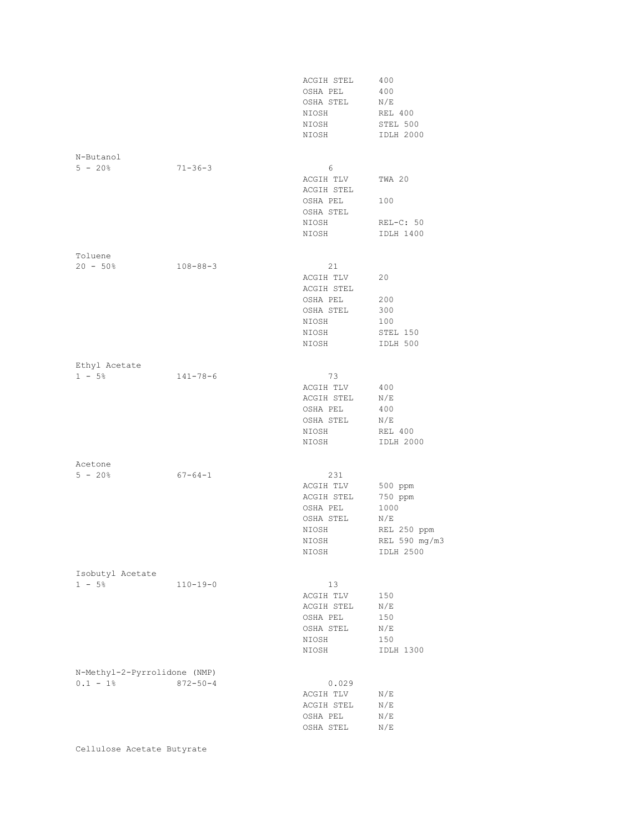|                                             |                | ACGIH STEL<br>OSHA PEL<br>OSHA STEL<br>NIOSH<br>NIOSH<br>NIOSH                     | 400<br>400<br>N/E<br>REL 400<br>STEL 500<br>IDLH 2000                          |
|---------------------------------------------|----------------|------------------------------------------------------------------------------------|--------------------------------------------------------------------------------|
| N-Butanol<br>$5 - 20%$                      | $71 - 36 - 3$  | 6                                                                                  |                                                                                |
|                                             |                | ACGIH TLV<br>ACGIH STEL                                                            | TWA 20                                                                         |
|                                             |                | OSHA PEL<br>OSHA STEL                                                              | 100                                                                            |
|                                             |                | NIOSH<br>NIOSH                                                                     | REL-C: 50<br>IDLH 1400                                                         |
| Toluene<br>$20 - 50$ <sup>§</sup>           | $108 - 88 - 3$ | 21                                                                                 |                                                                                |
|                                             |                | ACGIH TLV<br>ACGIH STEL                                                            | 20                                                                             |
|                                             |                | OSHA PEL<br>OSHA STEL                                                              | 200<br>300                                                                     |
|                                             |                | NIOSH<br>NIOSH                                                                     | 100<br>STEL 150                                                                |
|                                             |                | NIOSH                                                                              | IDLH 500                                                                       |
| Ethyl Acetate<br>$1 - 5%$                   | $141 - 78 - 6$ | 73                                                                                 |                                                                                |
|                                             |                | ACGIH TLV<br>ACGIH STEL<br>OSHA PEL<br>OSHA STEL<br>NIOSH<br>NIOSH                 | 400<br>N/E<br>400<br>N/E<br>REL 400<br>IDLH 2000                               |
| Acetone                                     |                |                                                                                    |                                                                                |
| $5 - 20%$                                   | $67 - 64 - 1$  | 231<br>ACGIH TLV<br>ACGIH STEL<br>OSHA PEL<br>OSHA STEL<br>NIOSH<br>NIOSH<br>NIOSH | 500 ppm<br>750 ppm<br>1000<br>N/E<br>REL 250 ppm<br>REL 590 mg/m3<br>IDLH 2500 |
| Isobutyl Acetate<br>$1 - 5%$                | $110 - 19 - 0$ | 13                                                                                 |                                                                                |
|                                             |                | ACGIH TLV<br>ACGIH STEL<br>OSHA PEL<br>OSHA STEL<br>NIOSH<br>NIOSH                 | 150<br>N/E<br>150<br>N/E<br>150<br>IDLH 1300                                   |
| N-Methyl-2-Pyrrolidone (NMP)<br>$0.1 - 1$ % | $872 - 50 - 4$ | 0.029                                                                              |                                                                                |
|                                             |                | ACGIH TLV<br>ACGIH STEL<br>OSHA PEL<br>OSHA STEL                                   | N/E<br>N/E<br>N/E<br>N/E                                                       |

Cellulose Acetate Butyrate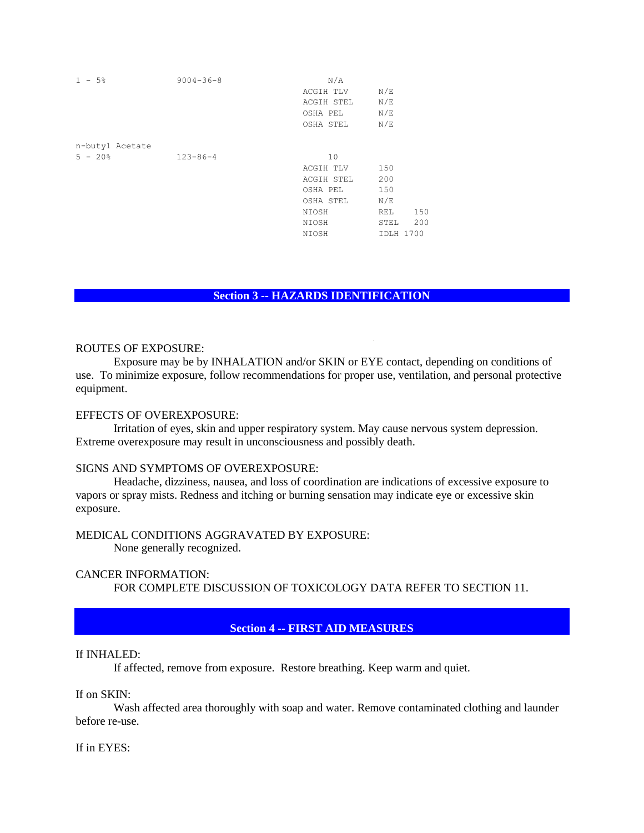| $1 - 5$ <sup>8</sup> | $9004 - 36 - 8$ | N/A        |             |
|----------------------|-----------------|------------|-------------|
|                      |                 | ACGIH TLV  | N/E         |
|                      |                 | ACGIH STEL | N/E         |
|                      |                 | OSHA PEL   | N/E         |
|                      |                 | OSHA STEL  | N/E         |
|                      |                 |            |             |
| n-butyl Acetate      |                 |            |             |
| $5 - 20%$            | $123 - 86 - 4$  | 10         |             |
|                      |                 | ACGIH TLV  | 150         |
|                      |                 | ACGIH STEL | 200         |
|                      |                 | OSHA PEL   | 150         |
|                      |                 | OSHA STEL  | N/E         |
|                      |                 | NIOSH      | 150<br>REL  |
|                      |                 | NIOSH      | 200<br>STEL |
|                      |                 | NIOSH      | IDLH 1700   |
|                      |                 |            |             |

# **Section 3 -- HAZARDS IDENTIFICATION**

#### ROUTES OF EXPOSURE:

Exposure may be by INHALATION and/or SKIN or EYE contact, depending on conditions of use. To minimize exposure, follow recommendations for proper use, ventilation, and personal protective equipment.

#### EFFECTS OF OVEREXPOSURE:

Irritation of eyes, skin and upper respiratory system. May cause nervous system depression. Extreme overexposure may result in unconsciousness and possibly death.

#### SIGNS AND SYMPTOMS OF OVEREXPOSURE:

Headache, dizziness, nausea, and loss of coordination are indications of excessive exposure to vapors or spray mists. Redness and itching or burning sensation may indicate eye or excessive skin exposure.

# MEDICAL CONDITIONS AGGRAVATED BY EXPOSURE:

None generally recognized.

#### CANCER INFORMATION:

FOR COMPLETE DISCUSSION OF TOXICOLOGY DATA REFER TO SECTION 11.

#### **Section 4 -- FIRST AID MEASURES**

#### If INHALED:

If affected, remove from exposure. Restore breathing. Keep warm and quiet.

If on SKIN:

Wash affected area thoroughly with soap and water. Remove contaminated clothing and launder before re-use.

If in EYES: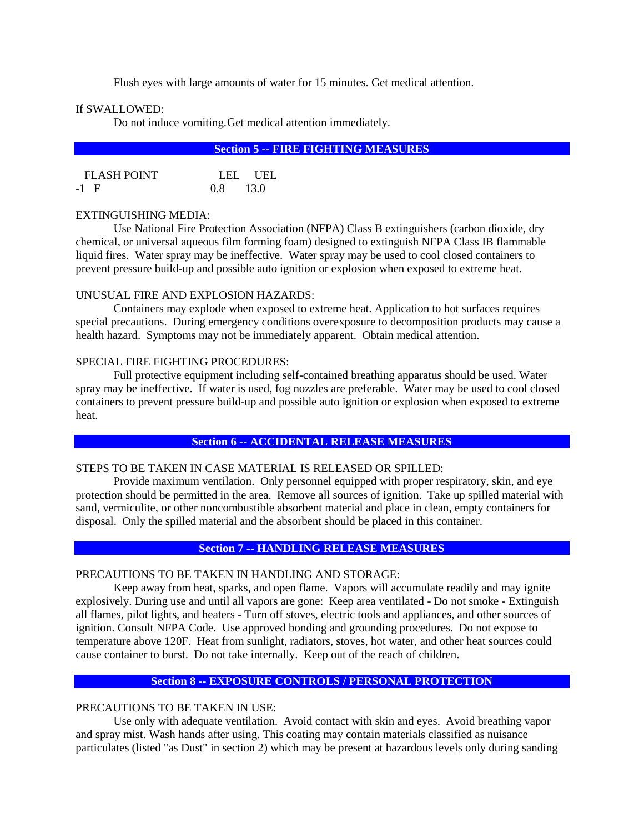Flush eyes with large amounts of water for 15 minutes. Get medical attention.

#### If SWALLOWED:

Do not induce vomiting.Get medical attention immediately.

#### **Section 5 -- FIRE FIGHTING MEASURES**

| <b>FLASH POINT</b> |            | LEL UEL |
|--------------------|------------|---------|
| $-1$ F             | $0.8$ 13.0 |         |

#### EXTINGUISHING MEDIA:

Use National Fire Protection Association (NFPA) Class B extinguishers (carbon dioxide, dry chemical, or universal aqueous film forming foam) designed to extinguish NFPA Class IB flammable liquid fires. Water spray may be ineffective. Water spray may be used to cool closed containers to prevent pressure build-up and possible auto ignition or explosion when exposed to extreme heat.

#### UNUSUAL FIRE AND EXPLOSION HAZARDS:

Containers may explode when exposed to extreme heat. Application to hot surfaces requires special precautions. During emergency conditions overexposure to decomposition products may cause a health hazard. Symptoms may not be immediately apparent. Obtain medical attention.

### SPECIAL FIRE FIGHTING PROCEDURES:

Full protective equipment including self-contained breathing apparatus should be used. Water spray may be ineffective. If water is used, fog nozzles are preferable. Water may be used to cool closed containers to prevent pressure build-up and possible auto ignition or explosion when exposed to extreme heat.

## **Section 6 -- ACCIDENTAL RELEASE MEASURES**

### STEPS TO BE TAKEN IN CASE MATERIAL IS RELEASED OR SPILLED:

Provide maximum ventilation. Only personnel equipped with proper respiratory, skin, and eye protection should be permitted in the area. Remove all sources of ignition. Take up spilled material with sand, vermiculite, or other noncombustible absorbent material and place in clean, empty containers for disposal. Only the spilled material and the absorbent should be placed in this container.

### **Section 7 -- HANDLING RELEASE MEASURES**

#### PRECAUTIONS TO BE TAKEN IN HANDLING AND STORAGE:

Keep away from heat, sparks, and open flame. Vapors will accumulate readily and may ignite explosively. During use and until all vapors are gone: Keep area ventilated - Do not smoke - Extinguish all flames, pilot lights, and heaters - Turn off stoves, electric tools and appliances, and other sources of ignition. Consult NFPA Code. Use approved bonding and grounding procedures. Do not expose to temperature above 120F. Heat from sunlight, radiators, stoves, hot water, and other heat sources could cause container to burst. Do not take internally. Keep out of the reach of children.

### **Section 8 -- EXPOSURE CONTROLS / PERSONAL PROTECTION**

#### PRECAUTIONS TO BE TAKEN IN USE:

Use only with adequate ventilation. Avoid contact with skin and eyes. Avoid breathing vapor and spray mist. Wash hands after using. This coating may contain materials classified as nuisance particulates (listed "as Dust" in section 2) which may be present at hazardous levels only during sanding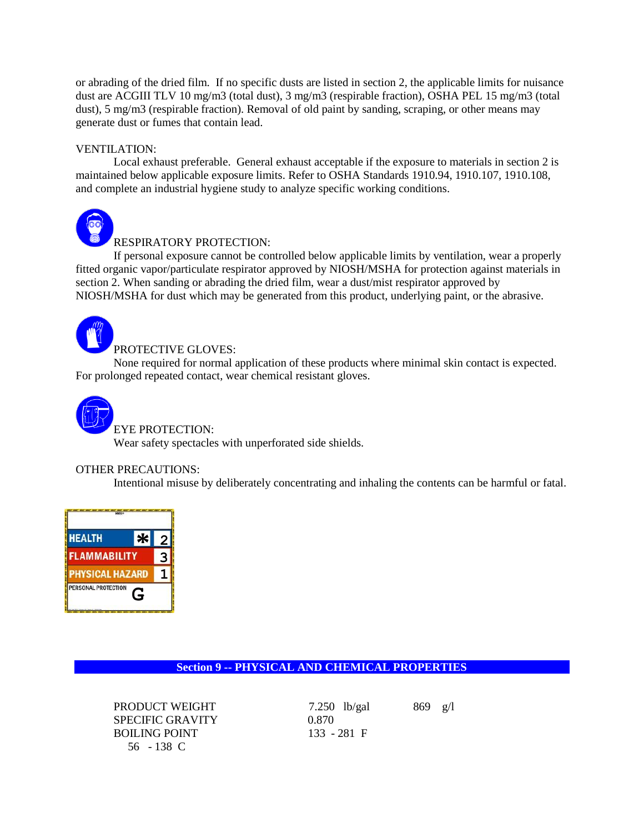or abrading of the dried film. If no specific dusts are listed in section 2, the applicable limits for nuisance dust are ACGIII TLV 10 mg/m3 (total dust), 3 mg/m3 (respirable fraction), OSHA PEL 15 mg/m3 (total dust), 5 mg/m3 (respirable fraction). Removal of old paint by sanding, scraping, or other means may generate dust or fumes that contain lead.

### VENTILATION:

Local exhaust preferable. General exhaust acceptable if the exposure to materials in section 2 is maintained below applicable exposure limits. Refer to OSHA Standards 1910.94, 1910.107, 1910.108, and complete an industrial hygiene study to analyze specific working conditions.



# RESPIRATORY PROTECTION:

If personal exposure cannot be controlled below applicable limits by ventilation, wear a properly fitted organic vapor/particulate respirator approved by NIOSH/MSHA for protection against materials in section 2. When sanding or abrading the dried film, wear a dust/mist respirator approved by NIOSH/MSHA for dust which may be generated from this product, underlying paint, or the abrasive.



# PROTECTIVE GLOVES:

None required for normal application of these products where minimal skin contact is expected. For prolonged repeated contact, wear chemical resistant gloves.



EYE PROTECTION:

Wear safety spectacles with unperforated side shields.

### OTHER PRECAUTIONS:

Intentional misuse by deliberately concentrating and inhaling the contents can be harmful or fatal.



# **Section 9 -- PHYSICAL AND CHEMICAL PROPERTIES**

SPECIFIC GRAVITY 0.870 BOILING POINT 133 - 281 F 56 - 138 C

PRODUCT WEIGHT 7.250 lb/gal 869 g/l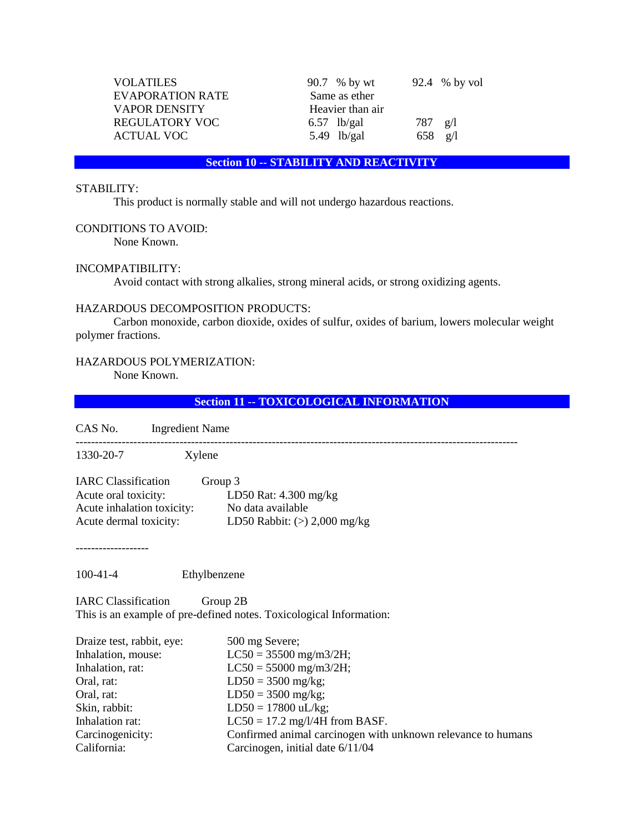| <b>VOLATILES</b>        | 90.7 % by wt     | 92.4 % by vol     |
|-------------------------|------------------|-------------------|
| <b>EVAPORATION RATE</b> | Same as ether    |                   |
| <b>VAPOR DENSITY</b>    | Heavier than air |                   |
| <b>REGULATORY VOC</b>   | $6.57$ lb/gal    | $787 \text{ g/l}$ |
| <b>ACTUAL VOC</b>       | $5.49$ lb/gal    | 658 $g/l$         |

#### **Section 10 -- STABILITY AND REACTIVITY**

#### STABILITY:

This product is normally stable and will not undergo hazardous reactions.

#### CONDITIONS TO AVOID:

None Known.

#### INCOMPATIBILITY:

Avoid contact with strong alkalies, strong mineral acids, or strong oxidizing agents.

# HAZARDOUS DECOMPOSITION PRODUCTS:

Carbon monoxide, carbon dioxide, oxides of sulfur, oxides of barium, lowers molecular weight polymer fractions.

#### HAZARDOUS POLYMERIZATION: None Known.

# **Section 11 -- TOXICOLOGICAL INFORMATION**

CAS No. Ingredient Name

-------------------------------------------------------------------------------------------------------------------

1330-20-7 Xylene

| <b>IARC</b> Classification | Group 3                        |
|----------------------------|--------------------------------|
| Acute oral toxicity:       | LD50 Rat: $4.300$ mg/kg        |
| Acute inhalation toxicity: | No data available              |
| Acute dermal toxicity:     | LD50 Rabbit: $(>)$ 2,000 mg/kg |

-------------------

100-41-4 Ethylbenzene

IARC Classification Group 2B This is an example of pre-defined notes. Toxicological Information:

| 500 mg Severe;                                               |
|--------------------------------------------------------------|
| $LC50 = 35500$ mg/m3/2H;                                     |
| $LC50 = 55000$ mg/m3/2H;                                     |
| $LD50 = 3500$ mg/kg;                                         |
| $LD50 = 3500$ mg/kg;                                         |
| $LD50 = 17800$ uL/kg;                                        |
| $LC50 = 17.2$ mg/l/4H from BASF.                             |
| Confirmed animal carcinogen with unknown relevance to humans |
| Carcinogen, initial date 6/11/04                             |
|                                                              |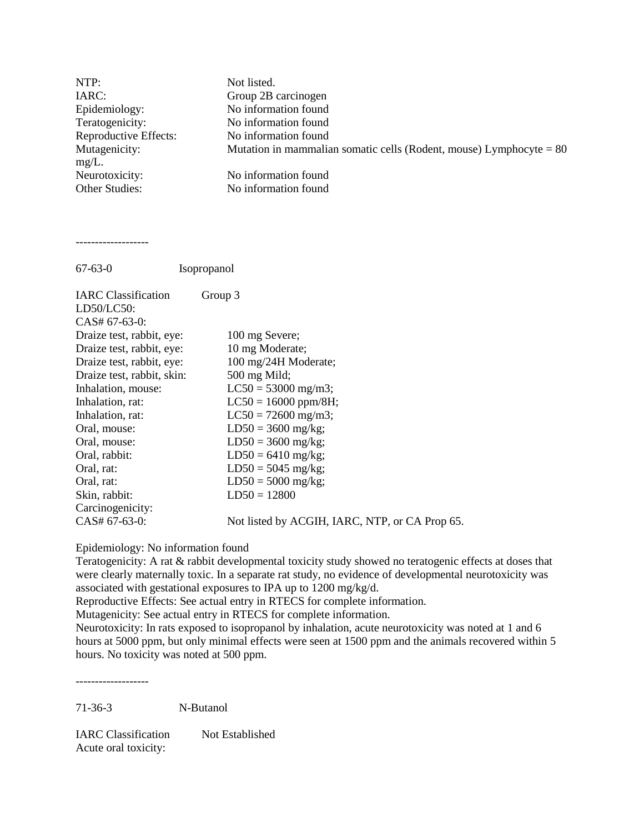| NTP:                  | Not listed.                                                           |
|-----------------------|-----------------------------------------------------------------------|
| IARC:                 | Group 2B carcinogen                                                   |
| Epidemiology:         | No information found                                                  |
| Teratogenicity:       | No information found                                                  |
| Reproductive Effects: | No information found                                                  |
| Mutagenicity:         | Mutation in mammalian somatic cells (Rodent, mouse) Lymphocyte $= 80$ |
| $mg/L$ .              |                                                                       |
| Neurotoxicity:        | No information found                                                  |
| Other Studies:        | No information found                                                  |

-------------------

67-63-0 Isopropanol

| <b>IARC</b> Classification | Group 3                                        |
|----------------------------|------------------------------------------------|
| LD50/LC50:                 |                                                |
| $CAS# 67-63-0:$            |                                                |
| Draize test, rabbit, eye:  | 100 mg Severe;                                 |
| Draize test, rabbit, eye:  | 10 mg Moderate;                                |
| Draize test, rabbit, eye:  | 100 mg/24H Moderate;                           |
| Draize test, rabbit, skin: | $500$ mg Mild;                                 |
| Inhalation, mouse:         | $LC50 = 53000$ mg/m3;                          |
| Inhalation, rat:           | $LC50 = 16000$ ppm/8H;                         |
| Inhalation, rat:           | $LC50 = 72600$ mg/m3;                          |
| Oral, mouse:               | $LD50 = 3600$ mg/kg;                           |
| Oral, mouse:               | $LD50 = 3600$ mg/kg;                           |
| Oral, rabbit:              | $LD50 = 6410$ mg/kg;                           |
| Oral, rat:                 | $LD50 = 5045$ mg/kg;                           |
| Oral, rat:                 | $LD50 = 5000$ mg/kg;                           |
| Skin, rabbit:              | $LD50 = 12800$                                 |
| Carcinogenicity:           |                                                |
| $CAS# 67-63-0:$            | Not listed by ACGIH, IARC, NTP, or CA Prop 65. |

#### Epidemiology: No information found

Teratogenicity: A rat & rabbit developmental toxicity study showed no teratogenic effects at doses that were clearly maternally toxic. In a separate rat study, no evidence of developmental neurotoxicity was associated with gestational exposures to IPA up to 1200 mg/kg/d.

Reproductive Effects: See actual entry in RTECS for complete information.

Mutagenicity: See actual entry in RTECS for complete information.

Neurotoxicity: In rats exposed to isopropanol by inhalation, acute neurotoxicity was noted at 1 and 6 hours at 5000 ppm, but only minimal effects were seen at 1500 ppm and the animals recovered within 5 hours. No toxicity was noted at 500 ppm.

-------------------

71-36-3 N-Butanol

IARC Classification Not Established Acute oral toxicity: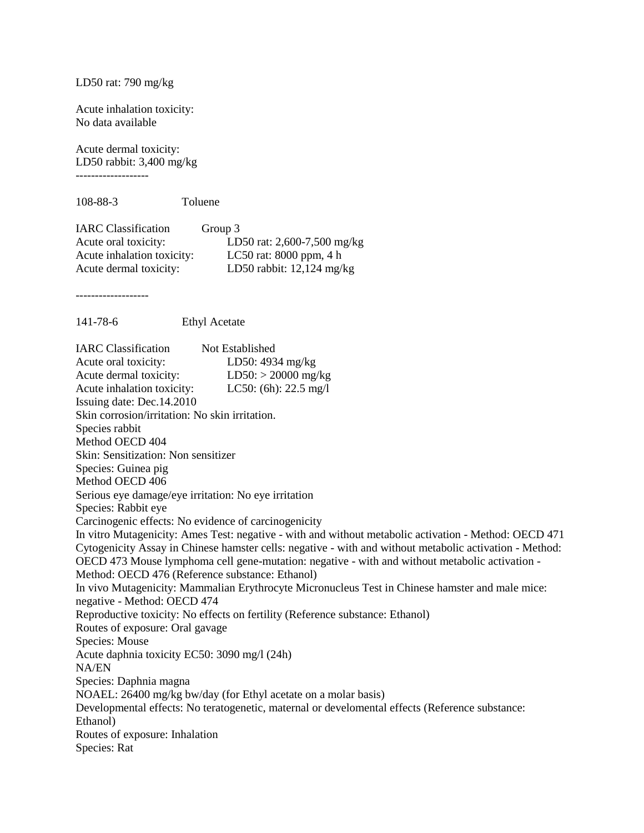LD50 rat: 790 mg/kg

Acute inhalation toxicity: No data available

Acute dermal toxicity: LD50 rabbit: 3,400 mg/kg -------------------

108-88-3 Toluene

| <b>IARC</b> Classification | Group 3                     |
|----------------------------|-----------------------------|
| Acute oral toxicity:       | LD50 rat: 2,600-7,500 mg/kg |
| Acute inhalation toxicity: | LC50 rat: $8000$ ppm, 4 h   |
| Acute dermal toxicity:     | LD50 rabbit: $12,124$ mg/kg |

-------------------

141-78-6 Ethyl Acetate

IARC Classification Not Established Acute oral toxicity: LD50: 4934 mg/kg Acute dermal toxicity: LD50: > 20000 mg/kg Acute inhalation toxicity: LC50: (6h): 22.5 mg/l Issuing date: Dec.14.2010 Skin corrosion/irritation: No skin irritation. Species rabbit Method OECD 404 Skin: Sensitization: Non sensitizer Species: Guinea pig Method OECD 406 Serious eye damage/eye irritation: No eye irritation Species: Rabbit eye Carcinogenic effects: No evidence of carcinogenicity In vitro Mutagenicity: Ames Test: negative - with and without metabolic activation - Method: OECD 471 Cytogenicity Assay in Chinese hamster cells: negative - with and without metabolic activation - Method: OECD 473 Mouse lymphoma cell gene-mutation: negative - with and without metabolic activation - Method: OECD 476 (Reference substance: Ethanol) In vivo Mutagenicity: Mammalian Erythrocyte Micronucleus Test in Chinese hamster and male mice: negative - Method: OECD 474 Reproductive toxicity: No effects on fertility (Reference substance: Ethanol) Routes of exposure: Oral gavage Species: Mouse Acute daphnia toxicity EC50: 3090 mg/l (24h) NA/EN Species: Daphnia magna NOAEL: 26400 mg/kg bw/day (for Ethyl acetate on a molar basis) Developmental effects: No teratogenetic, maternal or develomental effects (Reference substance: Ethanol) Routes of exposure: Inhalation Species: Rat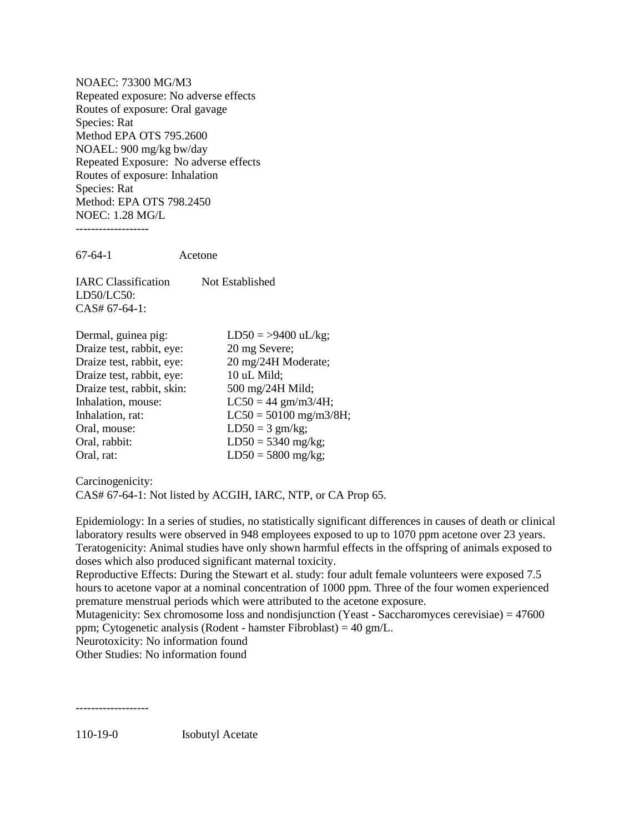NOAEC: 73300 MG/M3 Repeated exposure: No adverse effects Routes of exposure: Oral gavage Species: Rat Method EPA OTS 795.2600 NOAEL: 900 mg/kg bw/day Repeated Exposure: No adverse effects Routes of exposure: Inhalation Species: Rat Method: EPA OTS 798.2450 NOEC: 1.28 MG/L

-------------------

67-64-1 Acetone

IARC Classification Not Established LD50/LC50: CAS# 67-64-1:

| Dermal, guinea pig:        | $LD50 = >9400$ uL/kg;    |
|----------------------------|--------------------------|
| Draize test, rabbit, eye:  | 20 mg Severe;            |
| Draize test, rabbit, eye:  | 20 mg/24H Moderate;      |
| Draize test, rabbit, eye:  | 10 uL Mild;              |
| Draize test, rabbit, skin: | 500 mg/24H Mild;         |
| Inhalation, mouse:         | $LC50 = 44$ gm/m3/4H;    |
| Inhalation, rat:           | $LC50 = 50100$ mg/m3/8H; |
| Oral, mouse:               | $LD50 = 3 gm/kg;$        |
| Oral, rabbit:              | $LD50 = 5340$ mg/kg;     |
| Oral, rat:                 | $LD50 = 5800$ mg/kg;     |

Carcinogenicity:

CAS# 67-64-1: Not listed by ACGIH, IARC, NTP, or CA Prop 65.

Epidemiology: In a series of studies, no statistically significant differences in causes of death or clinical laboratory results were observed in 948 employees exposed to up to 1070 ppm acetone over 23 years. Teratogenicity: Animal studies have only shown harmful effects in the offspring of animals exposed to doses which also produced significant maternal toxicity.

Reproductive Effects: During the Stewart et al. study: four adult female volunteers were exposed 7.5 hours to acetone vapor at a nominal concentration of 1000 ppm. Three of the four women experienced premature menstrual periods which were attributed to the acetone exposure.

Mutagenicity: Sex chromosome loss and nondisjunction (Yeast - Saccharomyces cerevisiae) =  $47600$ ppm; Cytogenetic analysis (Rodent - hamster Fibroblast) = 40 gm/L.

Neurotoxicity: No information found

Other Studies: No information found

-------------------

110-19-0 Isobutyl Acetate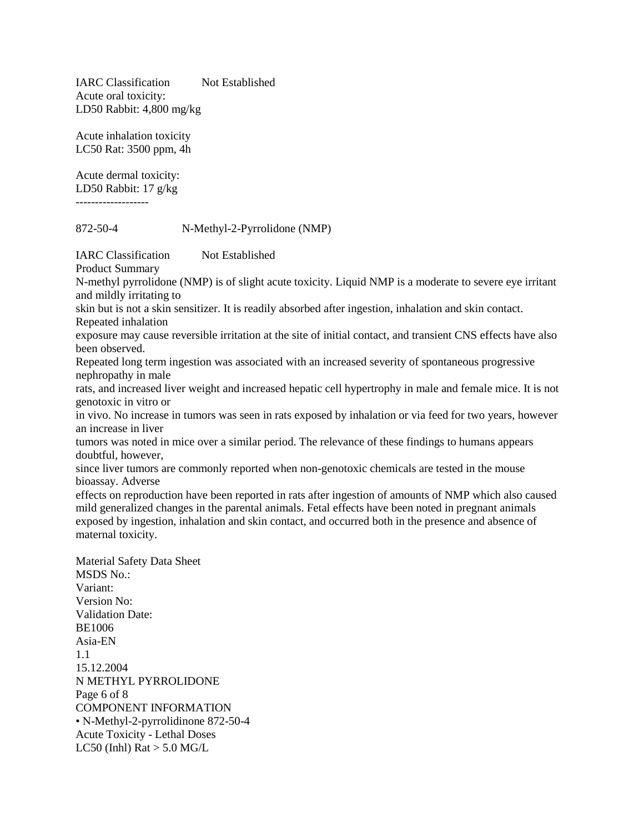IARC Classification Not Established Acute oral toxicity: LD50 Rabbit: 4,800 mg/kg

Acute inhalation toxicity LC50 Rat: 3500 ppm, 4h

Acute dermal toxicity: LD50 Rabbit: 17 g/kg

-------------------

#### 872-50-4 N-Methyl-2-Pyrrolidone (NMP)

IARC Classification Not Established Product Summary N-methyl pyrrolidone (NMP) is of slight acute toxicity. Liquid NMP is a moderate to severe eye irritant and mildly irritating to skin but is not a skin sensitizer. It is readily absorbed after ingestion, inhalation and skin contact. Repeated inhalation exposure may cause reversible irritation at the site of initial contact, and transient CNS effects have also been observed. Repeated long term ingestion was associated with an increased severity of spontaneous progressive nephropathy in male rats, and increased liver weight and increased hepatic cell hypertrophy in male and female mice. It is not genotoxic in vitro or in vivo. No increase in tumors was seen in rats exposed by inhalation or via feed for two years, however an increase in liver tumors was noted in mice over a similar period. The relevance of these findings to humans appears doubtful, however, since liver tumors are commonly reported when non-genotoxic chemicals are tested in the mouse bioassay. Adverse effects on reproduction have been reported in rats after ingestion of amounts of NMP which also caused mild generalized changes in the parental animals. Fetal effects have been noted in pregnant animals exposed by ingestion, inhalation and skin contact, and occurred both in the presence and absence of maternal toxicity. Material Safety Data Sheet MSDS No.:

Variant: Version No: Validation Date: BE1006 Asia-EN 1.1 15.12.2004 N METHYL PYRROLIDONE Page 6 of 8 COMPONENT INFORMATION • N-Methyl-2-pyrrolidinone 872-50-4 Acute Toxicity - Lethal Doses LC50 (Inhl)  $\text{Rat} > 5.0 \text{ MG/L}$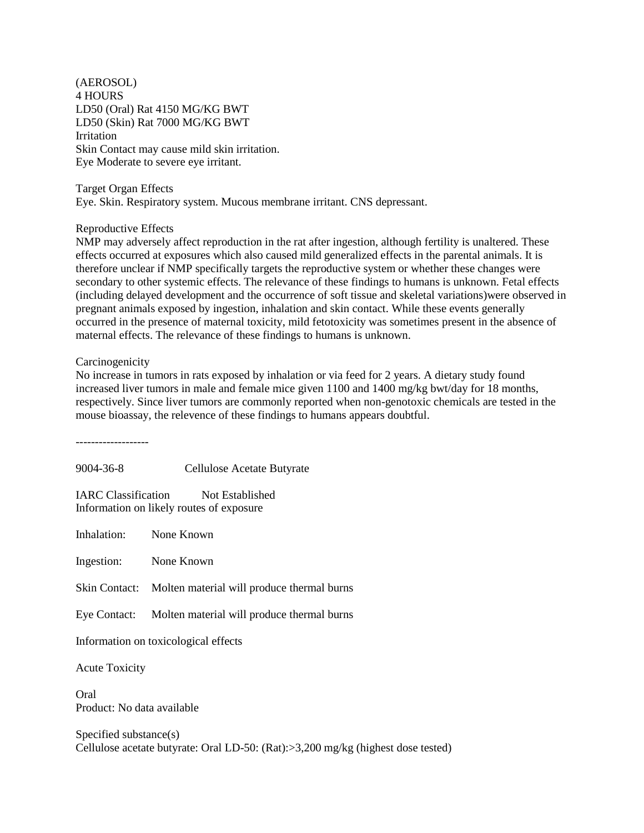(AEROSOL) 4 HOURS LD50 (Oral) Rat 4150 MG/KG BWT LD50 (Skin) Rat 7000 MG/KG BWT **Irritation** Skin Contact may cause mild skin irritation. Eye Moderate to severe eye irritant.

Target Organ Effects Eye. Skin. Respiratory system. Mucous membrane irritant. CNS depressant.

Reproductive Effects

NMP may adversely affect reproduction in the rat after ingestion, although fertility is unaltered. These effects occurred at exposures which also caused mild generalized effects in the parental animals. It is therefore unclear if NMP specifically targets the reproductive system or whether these changes were secondary to other systemic effects. The relevance of these findings to humans is unknown. Fetal effects (including delayed development and the occurrence of soft tissue and skeletal variations)were observed in pregnant animals exposed by ingestion, inhalation and skin contact. While these events generally occurred in the presence of maternal toxicity, mild fetotoxicity was sometimes present in the absence of maternal effects. The relevance of these findings to humans is unknown.

#### Carcinogenicity

No increase in tumors in rats exposed by inhalation or via feed for 2 years. A dietary study found increased liver tumors in male and female mice given 1100 and 1400 mg/kg bwt/day for 18 months, respectively. Since liver tumors are commonly reported when non-genotoxic chemicals are tested in the mouse bioassay, the relevence of these findings to humans appears doubtful.

-------------------

9004-36-8 Cellulose Acetate Butyrate

IARC Classification Not Established Information on likely routes of exposure

Inhalation: None Known

Ingestion: None Known

Skin Contact: Molten material will produce thermal burns

Eye Contact: Molten material will produce thermal burns

Information on toxicological effects

Acute Toxicity

Oral Product: No data available

Specified substance(s) Cellulose acetate butyrate: Oral LD-50: (Rat):>3,200 mg/kg (highest dose tested)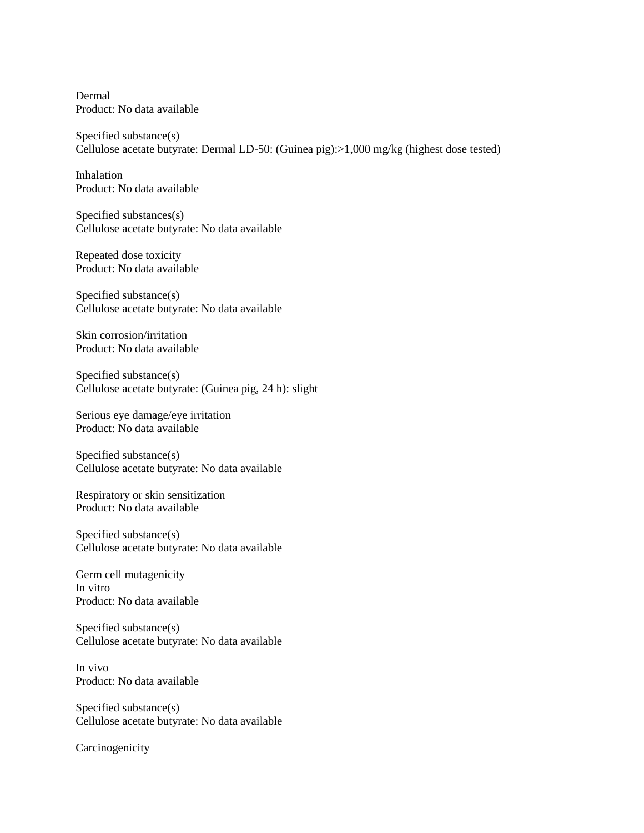Dermal Product: No data available

Specified substance(s) Cellulose acetate butyrate: Dermal LD-50: (Guinea pig):>1,000 mg/kg (highest dose tested)

Inhalation Product: No data available

Specified substances(s) Cellulose acetate butyrate: No data available

Repeated dose toxicity Product: No data available

Specified substance(s) Cellulose acetate butyrate: No data available

Skin corrosion/irritation Product: No data available

Specified substance(s) Cellulose acetate butyrate: (Guinea pig, 24 h): slight

Serious eye damage/eye irritation Product: No data available

Specified substance(s) Cellulose acetate butyrate: No data available

Respiratory or skin sensitization Product: No data available

Specified substance(s) Cellulose acetate butyrate: No data available

Germ cell mutagenicity In vitro Product: No data available

Specified substance(s) Cellulose acetate butyrate: No data available

In vivo Product: No data available

Specified substance(s) Cellulose acetate butyrate: No data available

Carcinogenicity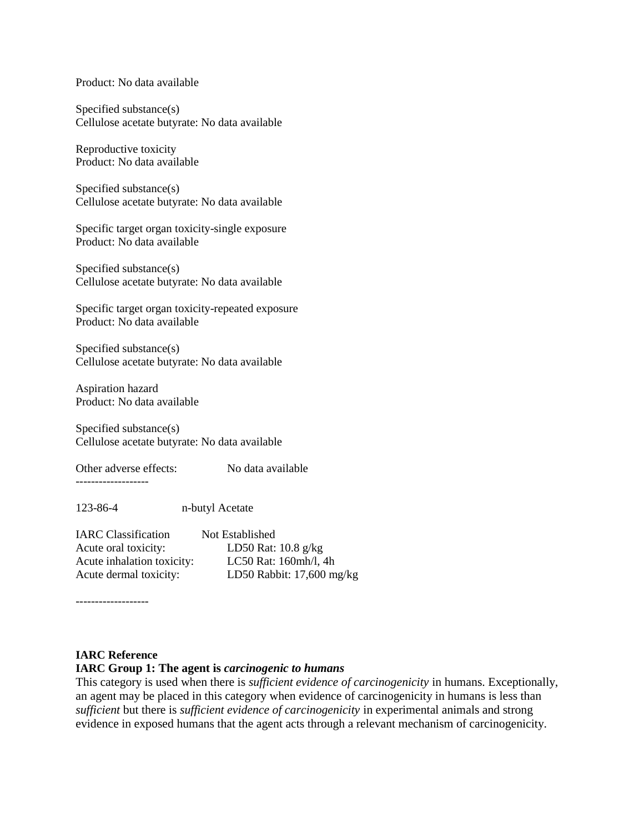Product: No data available

Specified substance(s) Cellulose acetate butyrate: No data available

Reproductive toxicity Product: No data available

Specified substance(s) Cellulose acetate butyrate: No data available

Specific target organ toxicity-single exposure Product: No data available

Specified substance(s) Cellulose acetate butyrate: No data available

Specific target organ toxicity-repeated exposure Product: No data available

Specified substance(s) Cellulose acetate butyrate: No data available

Aspiration hazard Product: No data available

Specified substance(s) Cellulose acetate butyrate: No data available

Other adverse effects: No data available -------------------

123-86-4 n-butyl Acetate

IARC Classification Not Established Acute oral toxicity: LD50 Rat: 10.8 g/kg Acute inhalation toxicity: LC50 Rat: 160mh/l, 4h Acute dermal toxicity: LD50 Rabbit: 17,600 mg/kg

-------------------

#### **IARC Reference IARC Group 1: The agent is** *carcinogenic to humans*

This category is used when there is *sufficient evidence of carcinogenicity* in humans. Exceptionally, an agent may be placed in this category when evidence of carcinogenicity in humans is less than *sufficient* but there is *sufficient evidence of carcinogenicity* in experimental animals and strong evidence in exposed humans that the agent acts through a relevant mechanism of carcinogenicity.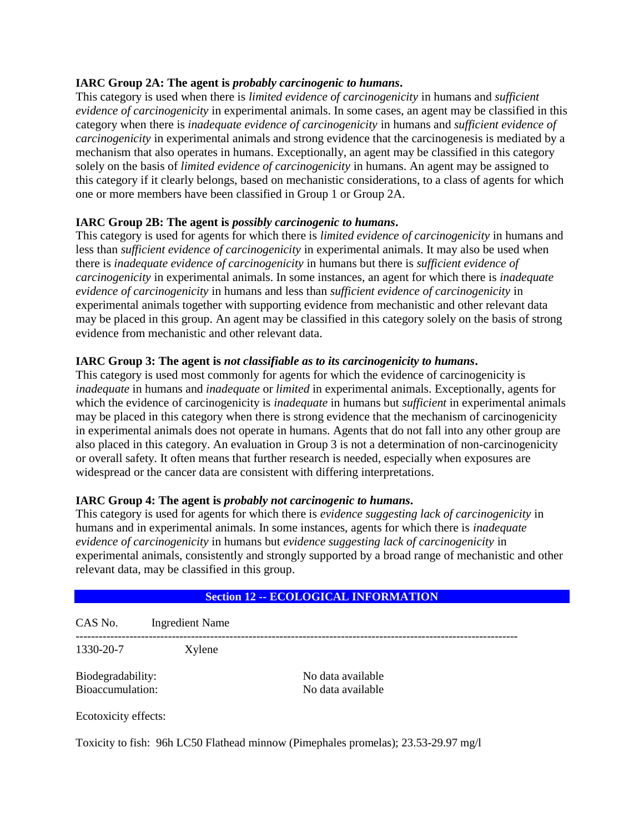# **IARC Group 2A: The agent is** *probably carcinogenic to humans***.**

This category is used when there is *limited evidence of carcinogenicity* in humans and *sufficient evidence of carcinogenicity* in experimental animals. In some cases, an agent may be classified in this category when there is *inadequate evidence of carcinogenicity* in humans and *sufficient evidence of carcinogenicity* in experimental animals and strong evidence that the carcinogenesis is mediated by a mechanism that also operates in humans. Exceptionally, an agent may be classified in this category solely on the basis of *limited evidence of carcinogenicity* in humans. An agent may be assigned to this category if it clearly belongs, based on mechanistic considerations, to a class of agents for which one or more members have been classified in Group 1 or Group 2A.

# **IARC Group 2B: The agent is** *possibly carcinogenic to humans***.**

This category is used for agents for which there is *limited evidence of carcinogenicity* in humans and less than *sufficient evidence of carcinogenicity* in experimental animals. It may also be used when there is *inadequate evidence of carcinogenicity* in humans but there is *sufficient evidence of carcinogenicity* in experimental animals. In some instances, an agent for which there is *inadequate evidence of carcinogenicity* in humans and less than *sufficient evidence of carcinogenicity* in experimental animals together with supporting evidence from mechanistic and other relevant data may be placed in this group. An agent may be classified in this category solely on the basis of strong evidence from mechanistic and other relevant data.

# **IARC Group 3: The agent is** *not classifiable as to its carcinogenicity to humans***.**

This category is used most commonly for agents for which the evidence of carcinogenicity is *inadequate* in humans and *inadequate* or *limited* in experimental animals. Exceptionally, agents for which the evidence of carcinogenicity is *inadequate* in humans but *sufficient* in experimental animals may be placed in this category when there is strong evidence that the mechanism of carcinogenicity in experimental animals does not operate in humans. Agents that do not fall into any other group are also placed in this category. An evaluation in Group 3 is not a determination of non-carcinogenicity or overall safety. It often means that further research is needed, especially when exposures are widespread or the cancer data are consistent with differing interpretations.

### **IARC Group 4: The agent is** *probably not carcinogenic to humans***.**

This category is used for agents for which there is *evidence suggesting lack of carcinogenicity* in humans and in experimental animals. In some instances, agents for which there is *inadequate evidence of carcinogenicity* in humans but *evidence suggesting lack of carcinogenicity* in experimental animals, consistently and strongly supported by a broad range of mechanistic and other relevant data, may be classified in this group.

# **Section 12 -- ECOLOGICAL INFORMATION**

CAS No. Ingredient Name

------------------------------------------------------------------------------------------------------------------- 1330-20-7 Xylene

Biodegradability: No data available Bioaccumulation: No data available

Ecotoxicity effects:

Toxicity to fish: 96h LC50 Flathead minnow (Pimephales promelas); 23.53-29.97 mg/l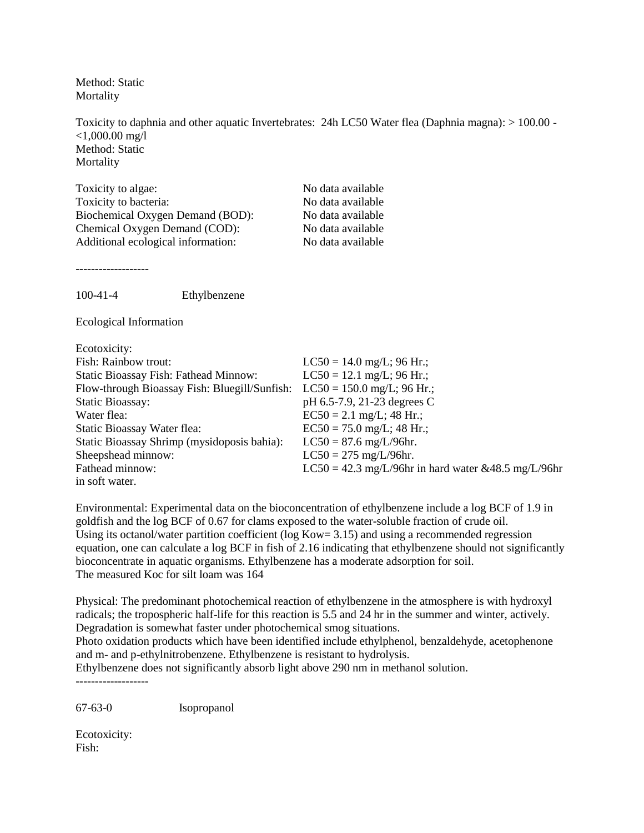Method: Static **Mortality** 

Toxicity to daphnia and other aquatic Invertebrates: 24h LC50 Water flea (Daphnia magna): > 100.00 - <1,000.00 mg/l Method: Static Mortality

| Toxicity to algae:                 | No data available |
|------------------------------------|-------------------|
| Toxicity to bacteria:              | No data available |
| Biochemical Oxygen Demand (BOD):   | No data available |
| Chemical Oxygen Demand (COD):      | No data available |
| Additional ecological information: | No data available |
|                                    |                   |

-------------------

100-41-4 Ethylbenzene

Ecological Information

| Ecotoxicity:                                  |                                                       |
|-----------------------------------------------|-------------------------------------------------------|
| Fish: Rainbow trout:                          | $LC50 = 14.0$ mg/L; 96 Hr.;                           |
| <b>Static Bioassay Fish: Fathead Minnow:</b>  | $LC50 = 12.1$ mg/L; 96 Hr.;                           |
| Flow-through Bioassay Fish: Bluegill/Sunfish: | $LC50 = 150.0$ mg/L; 96 Hr.;                          |
| Static Bioassay:                              | pH 6.5-7.9, 21-23 degrees C                           |
| Water flea:                                   | $EC50 = 2.1$ mg/L; 48 Hr.;                            |
| Static Bioassay Water flea:                   | $EC50 = 75.0$ mg/L; 48 Hr.;                           |
| Static Bioassay Shrimp (mysidoposis bahia):   | $LC50 = 87.6$ mg/L/96hr.                              |
| Sheepshead minnow:                            | $LC50 = 275$ mg/L/96hr.                               |
| Fathead minnow:                               | $LC50 = 42.3$ mg/L/96hr in hard water &48.5 mg/L/96hr |
| in soft water.                                |                                                       |

Environmental: Experimental data on the bioconcentration of ethylbenzene include a log BCF of 1.9 in goldfish and the log BCF of 0.67 for clams exposed to the water-soluble fraction of crude oil. Using its octanol/water partition coefficient (log Kow= 3.15) and using a recommended regression equation, one can calculate a log BCF in fish of 2.16 indicating that ethylbenzene should not significantly bioconcentrate in aquatic organisms. Ethylbenzene has a moderate adsorption for soil. The measured Koc for silt loam was 164

Physical: The predominant photochemical reaction of ethylbenzene in the atmosphere is with hydroxyl radicals; the tropospheric half-life for this reaction is 5.5 and 24 hr in the summer and winter, actively. Degradation is somewhat faster under photochemical smog situations.

Photo oxidation products which have been identified include ethylphenol, benzaldehyde, acetophenone and m- and p-ethylnitrobenzene. Ethylbenzene is resistant to hydrolysis.

Ethylbenzene does not significantly absorb light above 290 nm in methanol solution.

-------------------

67-63-0 Isopropanol

Ecotoxicity: Fish: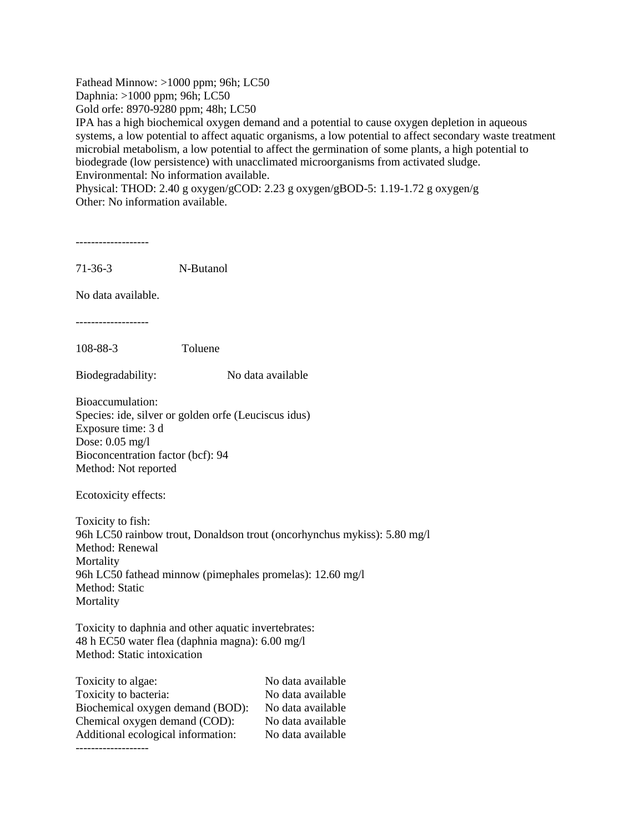Fathead Minnow: >1000 ppm; 96h; LC50

Daphnia: >1000 ppm; 96h; LC50

Gold orfe: 8970-9280 ppm; 48h; LC50

IPA has a high biochemical oxygen demand and a potential to cause oxygen depletion in aqueous systems, a low potential to affect aquatic organisms, a low potential to affect secondary waste treatment microbial metabolism, a low potential to affect the germination of some plants, a high potential to biodegrade (low persistence) with unacclimated microorganisms from activated sludge. Environmental: No information available.

Physical: THOD: 2.40 g oxygen/gCOD: 2.23 g oxygen/gBOD-5: 1.19-1.72 g oxygen/g Other: No information available.

-------------------

71-36-3 N-Butanol

No data available.

-------------------

108-88-3 Toluene

Biodegradability: No data available

Bioaccumulation: Species: ide, silver or golden orfe (Leuciscus idus) Exposure time: 3 d Dose: 0.05 mg/l Bioconcentration factor (bcf): 94 Method: Not reported

Ecotoxicity effects:

Toxicity to fish: 96h LC50 rainbow trout, Donaldson trout (oncorhynchus mykiss): 5.80 mg/l Method: Renewal Mortality 96h LC50 fathead minnow (pimephales promelas): 12.60 mg/l Method: Static Mortality

Toxicity to daphnia and other aquatic invertebrates: 48 h EC50 water flea (daphnia magna): 6.00 mg/l Method: Static intoxication

| Toxicity to algae:                 | No data available |
|------------------------------------|-------------------|
| Toxicity to bacteria:              | No data available |
| Biochemical oxygen demand (BOD):   | No data available |
| Chemical oxygen demand (COD):      | No data available |
| Additional ecological information: | No data available |
|                                    |                   |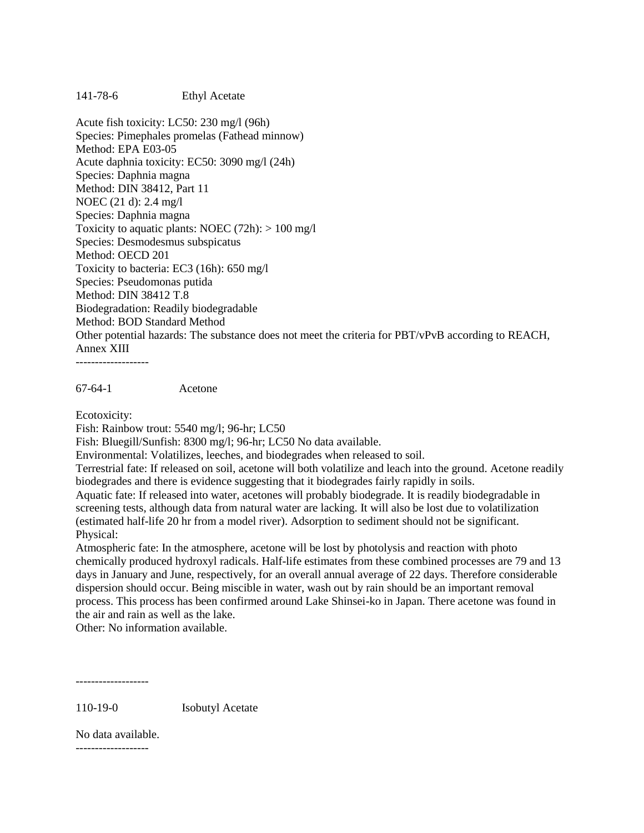#### 141-78-6 Ethyl Acetate

Acute fish toxicity: LC50: 230 mg/l (96h) Species: Pimephales promelas (Fathead minnow) Method: EPA E03-05 Acute daphnia toxicity: EC50: 3090 mg/l (24h) Species: Daphnia magna Method: DIN 38412, Part 11 NOEC (21 d): 2.4 mg/l Species: Daphnia magna Toxicity to aquatic plants: NOEC  $(72h)$ :  $> 100 \text{ mg/l}$ Species: Desmodesmus subspicatus Method: OECD 201 Toxicity to bacteria: EC3 (16h): 650 mg/l Species: Pseudomonas putida Method: DIN 38412 T.8 Biodegradation: Readily biodegradable Method: BOD Standard Method Other potential hazards: The substance does not meet the criteria for PBT/vPvB according to REACH, Annex XIII -------------------

67-64-1 Acetone

Ecotoxicity:

Fish: Rainbow trout: 5540 mg/l; 96-hr; LC50

Fish: Bluegill/Sunfish: 8300 mg/l; 96-hr; LC50 No data available.

Environmental: Volatilizes, leeches, and biodegrades when released to soil.

Terrestrial fate: If released on soil, acetone will both volatilize and leach into the ground. Acetone readily biodegrades and there is evidence suggesting that it biodegrades fairly rapidly in soils.

Aquatic fate: If released into water, acetones will probably biodegrade. It is readily biodegradable in screening tests, although data from natural water are lacking. It will also be lost due to volatilization (estimated half-life 20 hr from a model river). Adsorption to sediment should not be significant. Physical:

Atmospheric fate: In the atmosphere, acetone will be lost by photolysis and reaction with photo chemically produced hydroxyl radicals. Half-life estimates from these combined processes are 79 and 13 days in January and June, respectively, for an overall annual average of 22 days. Therefore considerable dispersion should occur. Being miscible in water, wash out by rain should be an important removal process. This process has been confirmed around Lake Shinsei-ko in Japan. There acetone was found in the air and rain as well as the lake.

Other: No information available.

-------------------

110-19-0 Isobutyl Acetate

No data available. -------------------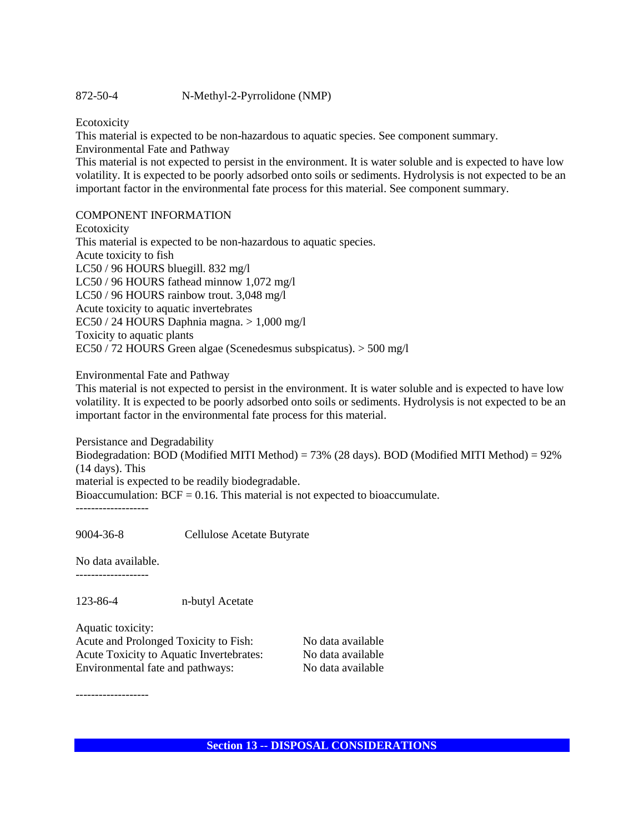872-50-4 N-Methyl-2-Pyrrolidone (NMP)

Ecotoxicity

This material is expected to be non-hazardous to aquatic species. See component summary. Environmental Fate and Pathway

This material is not expected to persist in the environment. It is water soluble and is expected to have low volatility. It is expected to be poorly adsorbed onto soils or sediments. Hydrolysis is not expected to be an important factor in the environmental fate process for this material. See component summary.

### COMPONENT INFORMATION

Ecotoxicity This material is expected to be non-hazardous to aquatic species. Acute toxicity to fish LC50 / 96 HOURS bluegill. 832 mg/l LC50 / 96 HOURS fathead minnow 1,072 mg/l LC50 / 96 HOURS rainbow trout. 3,048 mg/l Acute toxicity to aquatic invertebrates EC50 / 24 HOURS Daphnia magna. > 1,000 mg/l Toxicity to aquatic plants EC50 / 72 HOURS Green algae (Scenedesmus subspicatus). > 500 mg/l

Environmental Fate and Pathway

This material is not expected to persist in the environment. It is water soluble and is expected to have low volatility. It is expected to be poorly adsorbed onto soils or sediments. Hydrolysis is not expected to be an important factor in the environmental fate process for this material.

Persistance and Degradability Biodegradation: BOD (Modified MITI Method) =  $73\%$  (28 days). BOD (Modified MITI Method) =  $92\%$ (14 days). This material is expected to be readily biodegradable. Bioaccumulation:  $BCF = 0.16$ . This material is not expected to bioaccumulate.

-------------------

9004-36-8 Cellulose Acetate Butyrate

No data available. -------------------

123-86-4 n-butyl Acetate

Aquatic toxicity: Acute and Prolonged Toxicity to Fish: No data available Acute Toxicity to Aquatic Invertebrates: No data available Environmental fate and pathways: No data available

-------------------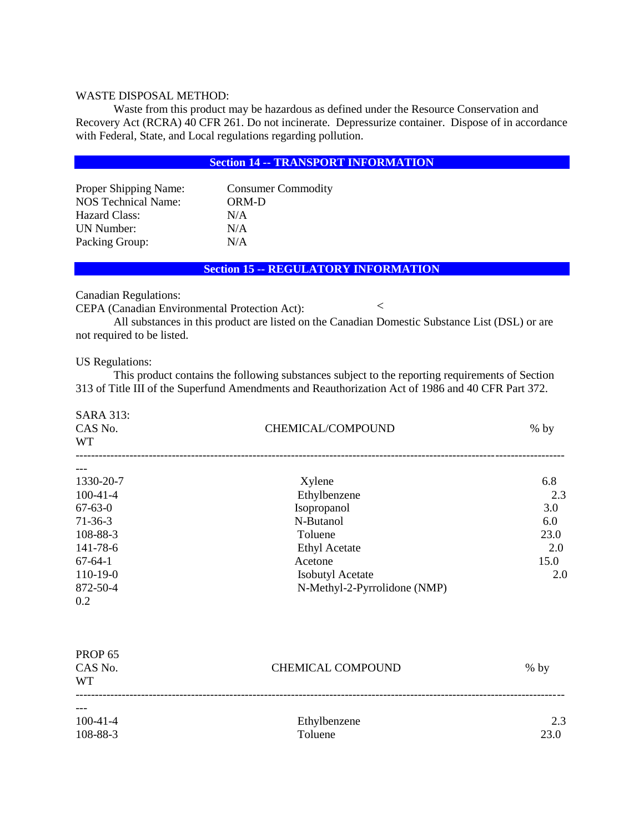#### WASTE DISPOSAL METHOD:

Waste from this product may be hazardous as defined under the Resource Conservation and Recovery Act (RCRA) 40 CFR 261. Do not incinerate. Depressurize container. Dispose of in accordance with Federal, State, and Local regulations regarding pollution.

#### **Section 14 -- TRANSPORT INFORMATION**

| <b>Proper Shipping Name:</b> | <b>Consumer Commodity</b> |
|------------------------------|---------------------------|
| <b>NOS Technical Name:</b>   | ORM-D                     |
| Hazard Class:                | N/A                       |
| UN Number:                   | N/A                       |
| Packing Group:               | N/A                       |

# **Section 15 -- REGULATORY INFORMATION**

 $\,<$ 

Canadian Regulations:

CEPA (Canadian Environmental Protection Act):

All substances in this product are listed on the Canadian Domestic Substance List (DSL) or are not required to be listed.

US Regulations:

This product contains the following substances subject to the reporting requirements of Section 313 of Title III of the Superfund Amendments and Reauthorization Act of 1986 and 40 CFR Part 372.

| <b>SARA 313:</b><br>CAS No.<br><b>WT</b> | CHEMICAL/COMPOUND            | $%$ by |
|------------------------------------------|------------------------------|--------|
|                                          |                              |        |
| 1330-20-7                                | Xylene                       | 6.8    |
| $100-41-4$                               | Ethylbenzene                 | 2.3    |
| $67 - 63 - 0$                            | Isopropanol                  | 3.0    |
| $71-36-3$                                | N-Butanol                    | 6.0    |
| 108-88-3                                 | Toluene                      | 23.0   |
| 141-78-6                                 | <b>Ethyl Acetate</b>         | 2.0    |
| $67 - 64 - 1$                            | Acetone                      | 15.0   |
| $110-19-0$                               | <b>Isobutyl Acetate</b>      | 2.0    |
| 872-50-4                                 | N-Methyl-2-Pyrrolidone (NMP) |        |
| 0.2                                      |                              |        |
| PROP <sub>65</sub>                       |                              |        |
| CAS No.                                  | <b>CHEMICAL COMPOUND</b>     | $%$ by |
| <b>WT</b>                                |                              |        |
|                                          |                              |        |
| $100-41-4$                               | Ethylbenzene                 | 2.3    |
| 108-88-3                                 | Toluene                      | 23.0   |